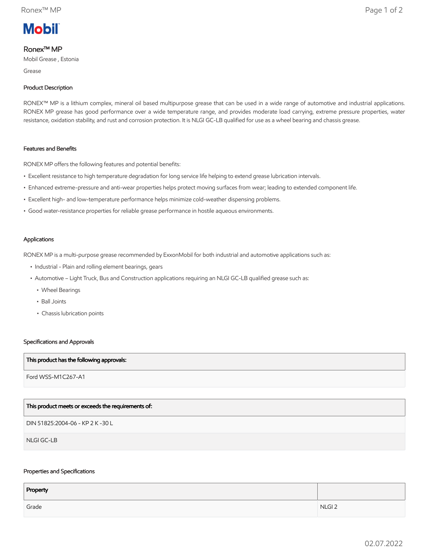

# Ronex™ MP

Mobil Grease , Estonia

Grease

### Product Description

RONEX™ MP is a lithium complex, mineral oil based multipurpose grease that can be used in a wide range of automotive and industrial applications. RONEX MP grease has good performance over a wide temperature range, and provides moderate load carrying, extreme pressure properties, water resistance, oxidation stability, and rust and corrosion protection. It is NLGI GC-LB qualified for use as a wheel bearing and chassis grease.

#### Features and Benefits

RONEX MP offers the following features and potential benefits:

- Excellent resistance to high temperature degradation for long service life helping to extend grease lubrication intervals.
- Enhanced extreme-pressure and anti-wear properties helps protect moving surfaces from wear; leading to extended component life.
- Excellent high- and low-temperature performance helps minimize cold-weather dispensing problems.
- Good water-resistance properties for reliable grease performance in hostile aqueous environments.

#### Applications

RONEX MP is a multi-purpose grease recommended by ExxonMobil for both industrial and automotive applications such as:

- Industrial Plain and rolling element bearings, gears
- • Automotive Light Truck, Bus and Construction applications requiring an NLGI GC-LB qualified grease such as:
	- Wheel Bearings
	- Ball Joints
	- Chassis lubrication points

#### Specifications and Approvals

#### This product has the following approvals:

Ford WSS-M1C267-A1

# This product meets or exceeds the requirements of:

DIN 51825:2004-06 - KP 2 K -30 L

NLGI GC-LB

## Properties and Specifications

| Property |                   |
|----------|-------------------|
| Grade    | NLGI <sub>2</sub> |